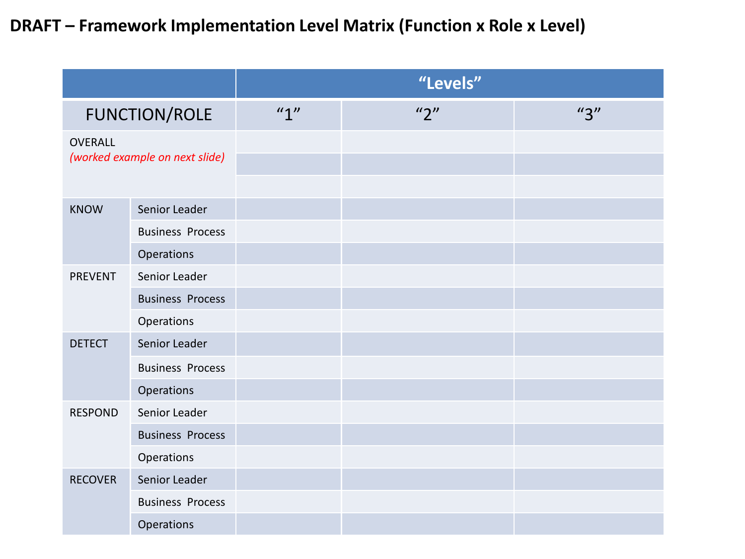### **DRAFT – Framework Implementation Level Matrix (Function x Role x Level)**

|                                                  |                         | "Levels" |                                   |     |
|--------------------------------------------------|-------------------------|----------|-----------------------------------|-----|
| <b>FUNCTION/ROLE</b>                             |                         | ''1"     | $^{\prime\prime}2^{\prime\prime}$ | "3" |
| <b>OVERALL</b><br>(worked example on next slide) |                         |          |                                   |     |
| <b>KNOW</b>                                      | Senior Leader           |          |                                   |     |
|                                                  | <b>Business Process</b> |          |                                   |     |
|                                                  | Operations              |          |                                   |     |
| <b>PREVENT</b>                                   | Senior Leader           |          |                                   |     |
|                                                  | <b>Business Process</b> |          |                                   |     |
|                                                  | Operations              |          |                                   |     |
| <b>DETECT</b>                                    | Senior Leader           |          |                                   |     |
|                                                  | <b>Business Process</b> |          |                                   |     |
|                                                  | Operations              |          |                                   |     |
| <b>RESPOND</b>                                   | Senior Leader           |          |                                   |     |
|                                                  | <b>Business Process</b> |          |                                   |     |
|                                                  | Operations              |          |                                   |     |
| <b>RECOVER</b>                                   | Senior Leader           |          |                                   |     |
|                                                  | <b>Business Process</b> |          |                                   |     |
|                                                  | Operations              |          |                                   |     |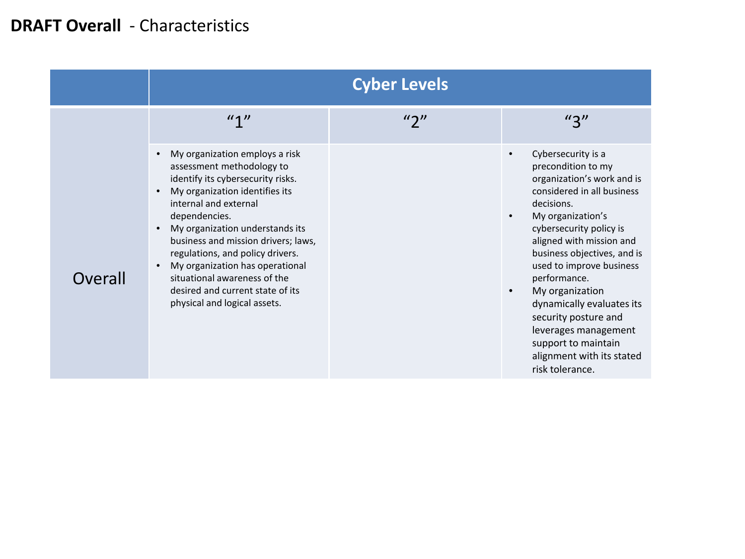### **DRAFT Overall** - Characteristics

|         | <b>Cyber Levels</b>                                                                                                                                                                                                                                                                                                                                                                                                                                         |                   |                                                                                                                                                                                                                                                                                                                                                                                                                                                  |  |  |
|---------|-------------------------------------------------------------------------------------------------------------------------------------------------------------------------------------------------------------------------------------------------------------------------------------------------------------------------------------------------------------------------------------------------------------------------------------------------------------|-------------------|--------------------------------------------------------------------------------------------------------------------------------------------------------------------------------------------------------------------------------------------------------------------------------------------------------------------------------------------------------------------------------------------------------------------------------------------------|--|--|
|         | ''1''                                                                                                                                                                                                                                                                                                                                                                                                                                                       | $^{\prime\prime}$ | "3"                                                                                                                                                                                                                                                                                                                                                                                                                                              |  |  |
| Overall | My organization employs a risk<br>$\bullet$<br>assessment methodology to<br>identify its cybersecurity risks.<br>My organization identifies its<br>internal and external<br>dependencies.<br>My organization understands its<br>business and mission drivers; laws,<br>regulations, and policy drivers.<br>My organization has operational<br>$\bullet$<br>situational awareness of the<br>desired and current state of its<br>physical and logical assets. |                   | Cybersecurity is a<br>precondition to my<br>organization's work and is<br>considered in all business<br>decisions.<br>My organization's<br>cybersecurity policy is<br>aligned with mission and<br>business objectives, and is<br>used to improve business<br>performance.<br>My organization<br>dynamically evaluates its<br>security posture and<br>leverages management<br>support to maintain<br>alignment with its stated<br>risk tolerance. |  |  |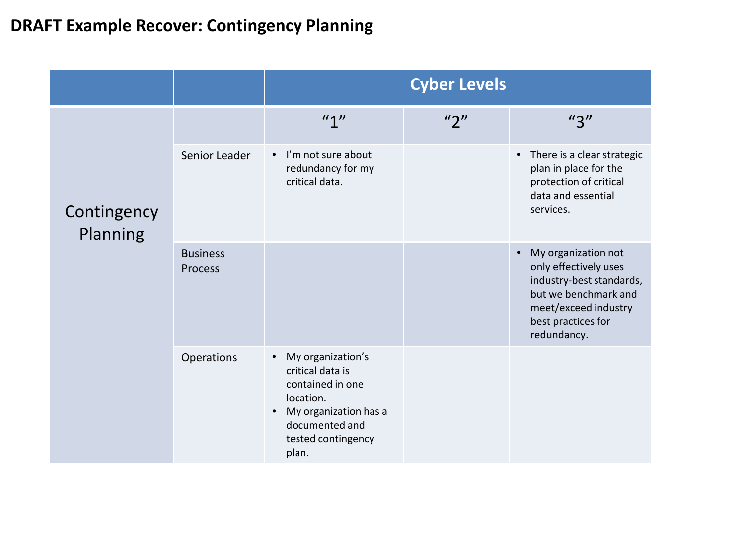# **DRAFT Example Recover: Contingency Planning**

|                         |                            | <b>Cyber Levels</b>                                                                                                                                           |                                   |                                                                                                                                                               |
|-------------------------|----------------------------|---------------------------------------------------------------------------------------------------------------------------------------------------------------|-----------------------------------|---------------------------------------------------------------------------------------------------------------------------------------------------------------|
|                         |                            | ''1"                                                                                                                                                          | $^{\prime\prime}2^{\prime\prime}$ | $^{\prime\prime}$ 3"                                                                                                                                          |
| Contingency<br>Planning | Senior Leader              | I'm not sure about<br>$\bullet$<br>redundancy for my<br>critical data.                                                                                        |                                   | There is a clear strategic<br>plan in place for the<br>protection of critical<br>data and essential<br>services.                                              |
|                         | <b>Business</b><br>Process |                                                                                                                                                               |                                   | My organization not<br>only effectively uses<br>industry-best standards,<br>but we benchmark and<br>meet/exceed industry<br>best practices for<br>redundancy. |
|                         | Operations                 | My organization's<br>$\bullet$<br>critical data is<br>contained in one<br>location.<br>My organization has a<br>documented and<br>tested contingency<br>plan. |                                   |                                                                                                                                                               |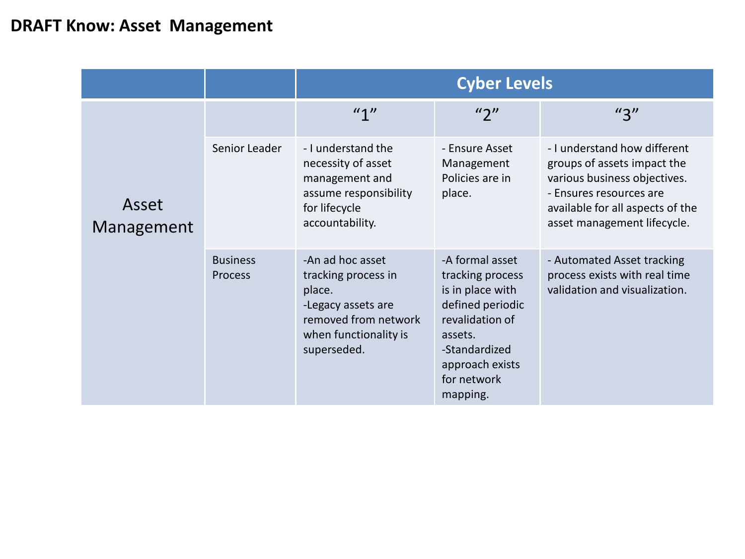#### **DRAFT Know: Asset Management**

|                     |                            | <b>Cyber Levels</b>                                                                                                                     |                                                                                                                                                                          |                                                                                                                                                                                           |
|---------------------|----------------------------|-----------------------------------------------------------------------------------------------------------------------------------------|--------------------------------------------------------------------------------------------------------------------------------------------------------------------------|-------------------------------------------------------------------------------------------------------------------------------------------------------------------------------------------|
|                     |                            | $''$ <sup>11</sup>                                                                                                                      | $^{\prime\prime}$                                                                                                                                                        | $^{\prime\prime}$ 3"                                                                                                                                                                      |
| Asset<br>Management | Senior Leader              | - I understand the<br>necessity of asset<br>management and<br>assume responsibility<br>for lifecycle<br>accountability.                 | - Ensure Asset<br>Management<br>Policies are in<br>place.                                                                                                                | - I understand how different<br>groups of assets impact the<br>various business objectives.<br>- Ensures resources are<br>available for all aspects of the<br>asset management lifecycle. |
|                     | <b>Business</b><br>Process | -An ad hoc asset<br>tracking process in<br>place.<br>-Legacy assets are<br>removed from network<br>when functionality is<br>superseded. | -A formal asset<br>tracking process<br>is in place with<br>defined periodic<br>revalidation of<br>assets.<br>-Standardized<br>approach exists<br>for network<br>mapping. | - Automated Asset tracking<br>process exists with real time<br>validation and visualization.                                                                                              |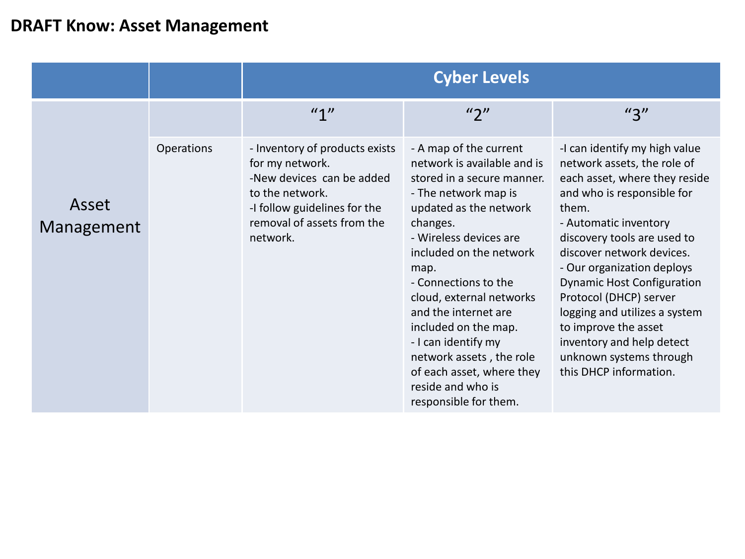#### **DRAFT Know: Asset Management**

|                     |            | <b>Cyber Levels</b>                                                                                                                                                         |                                                                                                                                                                                                                                                                                                                                                                                                                                                  |                                                                                                                                                                                                                                                                                                                                                                                                                                                                   |
|---------------------|------------|-----------------------------------------------------------------------------------------------------------------------------------------------------------------------------|--------------------------------------------------------------------------------------------------------------------------------------------------------------------------------------------------------------------------------------------------------------------------------------------------------------------------------------------------------------------------------------------------------------------------------------------------|-------------------------------------------------------------------------------------------------------------------------------------------------------------------------------------------------------------------------------------------------------------------------------------------------------------------------------------------------------------------------------------------------------------------------------------------------------------------|
|                     |            | ''1''                                                                                                                                                                       | "2"                                                                                                                                                                                                                                                                                                                                                                                                                                              | $^{\prime\prime}3^{\prime\prime}$                                                                                                                                                                                                                                                                                                                                                                                                                                 |
| Asset<br>Management | Operations | - Inventory of products exists<br>for my network.<br>-New devices can be added<br>to the network.<br>-I follow guidelines for the<br>removal of assets from the<br>network. | - A map of the current<br>network is available and is<br>stored in a secure manner.<br>- The network map is<br>updated as the network<br>changes.<br>- Wireless devices are<br>included on the network<br>map.<br>- Connections to the<br>cloud, external networks<br>and the internet are<br>included on the map.<br>- I can identify my<br>network assets, the role<br>of each asset, where they<br>reside and who is<br>responsible for them. | -I can identify my high value<br>network assets, the role of<br>each asset, where they reside<br>and who is responsible for<br>them.<br>- Automatic inventory<br>discovery tools are used to<br>discover network devices.<br>- Our organization deploys<br><b>Dynamic Host Configuration</b><br>Protocol (DHCP) server<br>logging and utilizes a system<br>to improve the asset<br>inventory and help detect<br>unknown systems through<br>this DHCP information. |